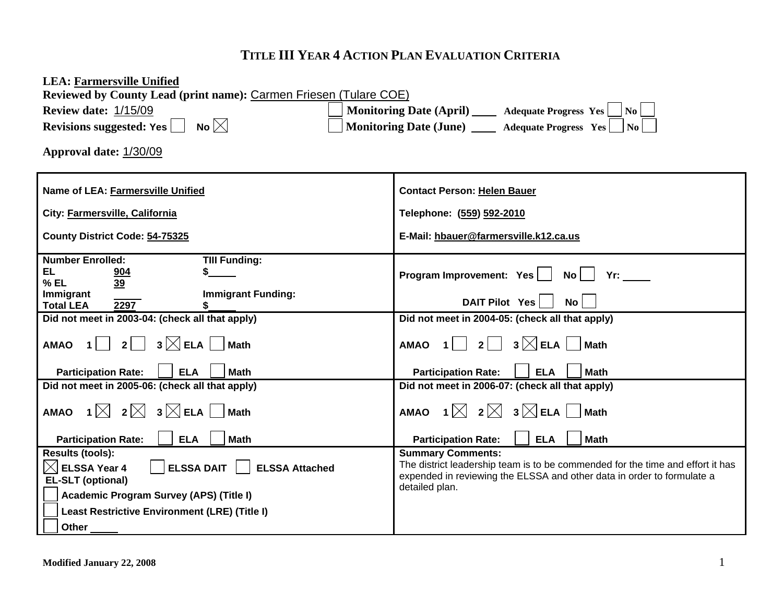# **TITLE III YEAR 4 ACTION PLAN EVALUATION CRITERIA**

| <b>LEA: Farmersville Unified</b><br>Reviewed by County Lead (print name): Carmen Friesen (Tulare COE)                                       |                                                                                                                                                                                                        |
|---------------------------------------------------------------------------------------------------------------------------------------------|--------------------------------------------------------------------------------------------------------------------------------------------------------------------------------------------------------|
| <b>Review date: 1/15/09</b>                                                                                                                 | Monitoring Date (April) ____ Adequate Progress Yes __ No __                                                                                                                                            |
| No $\boxtimes$<br>Revisions suggested: Yes                                                                                                  | Monitoring Date (June) _____ Adequate Progress Yes     No                                                                                                                                              |
| Approval date: 1/30/09                                                                                                                      |                                                                                                                                                                                                        |
| Name of LEA: Farmersville Unified                                                                                                           | <b>Contact Person: Helen Bauer</b>                                                                                                                                                                     |
| City: Farmersville, California                                                                                                              | Telephone: (559) 592-2010                                                                                                                                                                              |
| County District Code: 54-75325                                                                                                              | E-Mail: hbauer@farmersville.k12.ca.us                                                                                                                                                                  |
| <b>Number Enrolled:</b><br><b>TIII Funding:</b><br>EL.<br>\$<br>904<br>$%$ EL<br>39<br><b>Immigrant Funding:</b><br>Immigrant               | Program Improvement: Yes<br><b>No</b><br>Yr:                                                                                                                                                           |
| 2297<br><b>Total LEA</b>                                                                                                                    | DAIT Pilot Yes<br>No <sub>1</sub>                                                                                                                                                                      |
| Did not meet in 2003-04: (check all that apply)                                                                                             | Did not meet in 2004-05: (check all that apply)                                                                                                                                                        |
| $3$ $\times$ ELA $\vert$<br>2 <br><b>Math</b><br><b>AMAO</b>                                                                                | $3\boxtimes$ ELA<br>$2$  <br><b>Math</b><br><b>AMAO</b>                                                                                                                                                |
| <b>Math</b><br><b>Participation Rate:</b><br><b>ELA</b>                                                                                     | <b>ELA</b><br><b>Math</b><br><b>Participation Rate:</b>                                                                                                                                                |
| Did not meet in 2005-06: (check all that apply)                                                                                             | Did not meet in 2006-07: (check all that apply)                                                                                                                                                        |
| AMAO 1 $\bowtie$ 2 $\bowtie$ 3 $\bowtie$ ELA $\mid$<br><b>Math</b>                                                                          | AMAO 1 $\boxtimes$ 2 $\boxtimes$ 3 $\boxtimes$ ELA<br><b>Math</b>                                                                                                                                      |
| <b>Participation Rate:</b><br><b>ELA</b><br><b>Math</b>                                                                                     | <b>ELA</b><br><b>Math</b><br><b>Participation Rate:</b>                                                                                                                                                |
| <b>Results (tools):</b><br>$ \!\!\!\triangleleft\! $ ELSSA Year 4<br><b>ELSSA DAIT</b><br><b>ELSSA Attached</b><br><b>EL-SLT (optional)</b> | <b>Summary Comments:</b><br>The district leadership team is to be commended for the time and effort it has<br>expended in reviewing the ELSSA and other data in order to formulate a<br>detailed plan. |
| Academic Program Survey (APS) (Title I)                                                                                                     |                                                                                                                                                                                                        |
| <b>Least Restrictive Environment (LRE) (Title I)</b>                                                                                        |                                                                                                                                                                                                        |
| <b>Other</b>                                                                                                                                |                                                                                                                                                                                                        |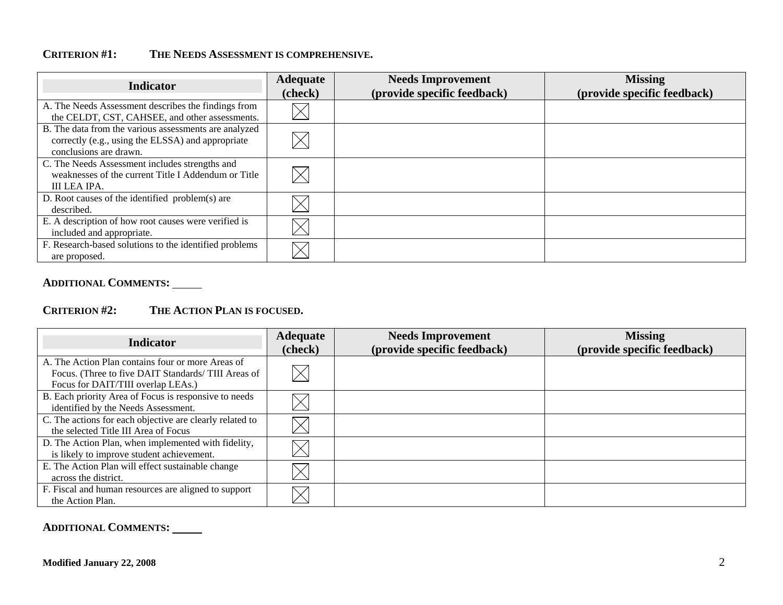# **CRITERION #1: THE NEEDS ASSESSMENT IS COMPREHENSIVE.**

| <b>Indicator</b>                                                                                                                     | <b>Adequate</b><br>(check) | <b>Needs Improvement</b><br>(provide specific feedback) | <b>Missing</b><br>(provide specific feedback) |
|--------------------------------------------------------------------------------------------------------------------------------------|----------------------------|---------------------------------------------------------|-----------------------------------------------|
| A. The Needs Assessment describes the findings from<br>the CELDT, CST, CAHSEE, and other assessments.                                |                            |                                                         |                                               |
| B. The data from the various assessments are analyzed<br>correctly (e.g., using the ELSSA) and appropriate<br>conclusions are drawn. |                            |                                                         |                                               |
| C. The Needs Assessment includes strengths and<br>weaknesses of the current Title I Addendum or Title<br>III LEA IPA.                |                            |                                                         |                                               |
| D. Root causes of the identified problem(s) are<br>described.                                                                        |                            |                                                         |                                               |
| E. A description of how root causes were verified is<br>included and appropriate.                                                    |                            |                                                         |                                               |
| F. Research-based solutions to the identified problems<br>are proposed.                                                              |                            |                                                         |                                               |

## **ADDITIONAL COMMENTS:**

## **CRITERION #2: THE ACTION PLAN IS FOCUSED.**

| <b>Indicator</b>                                                                                                                              | <b>Adequate</b><br>(check) | <b>Needs Improvement</b><br>(provide specific feedback) | <b>Missing</b><br>(provide specific feedback) |
|-----------------------------------------------------------------------------------------------------------------------------------------------|----------------------------|---------------------------------------------------------|-----------------------------------------------|
| A. The Action Plan contains four or more Areas of<br>Focus. (Three to five DAIT Standards/TIII Areas of<br>Focus for DAIT/TIII overlap LEAs.) | $\boxtimes$                |                                                         |                                               |
| B. Each priority Area of Focus is responsive to needs<br>identified by the Needs Assessment.                                                  |                            |                                                         |                                               |
| C. The actions for each objective are clearly related to<br>the selected Title III Area of Focus                                              |                            |                                                         |                                               |
| D. The Action Plan, when implemented with fidelity,<br>is likely to improve student achievement.                                              |                            |                                                         |                                               |
| E. The Action Plan will effect sustainable change<br>across the district.                                                                     |                            |                                                         |                                               |
| F. Fiscal and human resources are aligned to support<br>the Action Plan.                                                                      |                            |                                                         |                                               |

## **ADDITIONAL COMMENTS:**